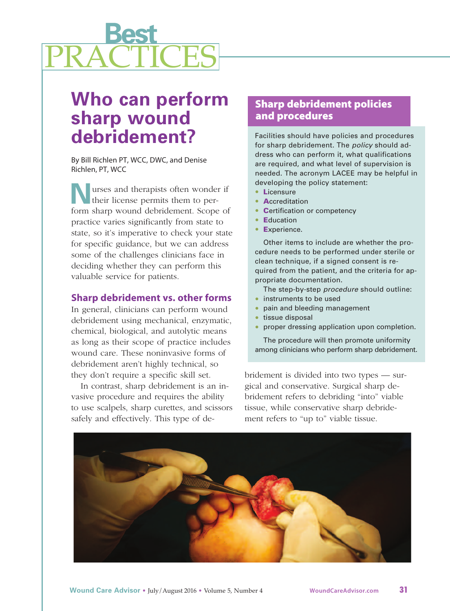

# **Who can perform sharp wound debridement?**

By Bill Richlen PT, WCC, DWC, and Denise Richlen, PT, WCC

**N**urses and therapists often wonder if their license permits them to perform sharp wound debridement. Scope of practice varies significantly from state to state, so it's imperative to check your state for specific guidance, but we can address some of the challenges clinicians face in deciding whether they can perform this valuable service for patients.

## **Sharp debridement vs. other forms**

In general, clinicians can perform wound debridement using mechanical, enzymatic, chemical, biological, and autolytic means as long as their scope of practice includes wound care. These noninvasive forms of debridement aren't highly technical, so they don't require a specific skill set.

In contrast, sharp debridement is an invasive procedure and requires the ability to use scalpels, sharp curettes, and scissors safely and effectively. This type of de-

# **Sharp debridement policies and procedures**

Facilities should have policies and procedures for sharp debridement. The *policy* should address who can perform it, what qualifications are required, and what level of supervision is needed. The acronym LACEE may be helpful in developing the policy statement:

- **L**icensure
- **<sup>A</sup>**ccreditation
- **<sup>C</sup>**ertification or competency
- **<sup>E</sup>**ducation
- Experience.

Other items to include are whether the procedure needs to be performed under sterile or clean technique, if a signed consent is required from the patient, and the criteria for appropriate documentation.

The step-by-step *procedure* should outline:

- instruments to be used
- pain and bleeding management
- tissue disposal
- proper dressing application upon completion.

The procedure will then promote uniformity among clinicians who perform sharp debridement.

bridement is divided into two types — surgical and conservative. Surgical sharp debridement refers to debriding "into" viable tissue, while conservative sharp debridement refers to "up to" viable tissue.